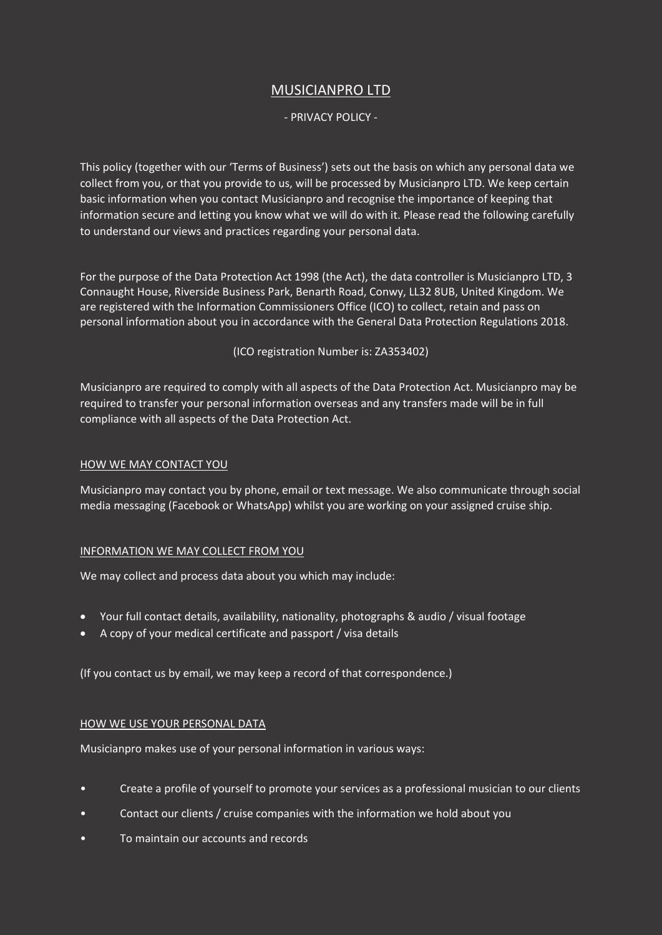# MUSICIANPRO LTD

## - PRIVACY POLICY -

This policy (together with our 'Terms of Business') sets out the basis on which any personal data we collect from you, or that you provide to us, will be processed by Musicianpro LTD. We keep certain basic information when you contact Musicianpro and recognise the importance of keeping that information secure and letting you know what we will do with it. Please read the following carefully to understand our views and practices regarding your personal data.

For the purpose of the Data Protection Act 1998 (the Act), the data controller is Musicianpro LTD, 3 Connaught House, Riverside Business Park, Benarth Road, Conwy, LL32 8UB, United Kingdom. We are registered with the Information Commissioners Office (ICO) to collect, retain and pass on personal information about you in accordance with the General Data Protection Regulations 2018.

(ICO registration Number is: ZA353402)

Musicianpro are required to comply with all aspects of the Data Protection Act. Musicianpro may be required to transfer your personal information overseas and any transfers made will be in full compliance with all aspects of the Data Protection Act.

## HOW WE MAY CONTACT YOU

Musicianpro may contact you by phone, email or text message. We also communicate through social media messaging (Facebook or WhatsApp) whilst you are working on your assigned cruise ship.

## INFORMATION WE MAY COLLECT FROM YOU

We may collect and process data about you which may include:

- Your full contact details, availability, nationality, photographs & audio / visual footage
- A copy of your medical certificate and passport / visa details

(If you contact us by email, we may keep a record of that correspondence.)

## HOW WE USE YOUR PERSONAL DATA

Musicianpro makes use of your personal information in various ways:

- Create a profile of yourself to promote your services as a professional musician to our clients
- Contact our clients / cruise companies with the information we hold about you
- To maintain our accounts and records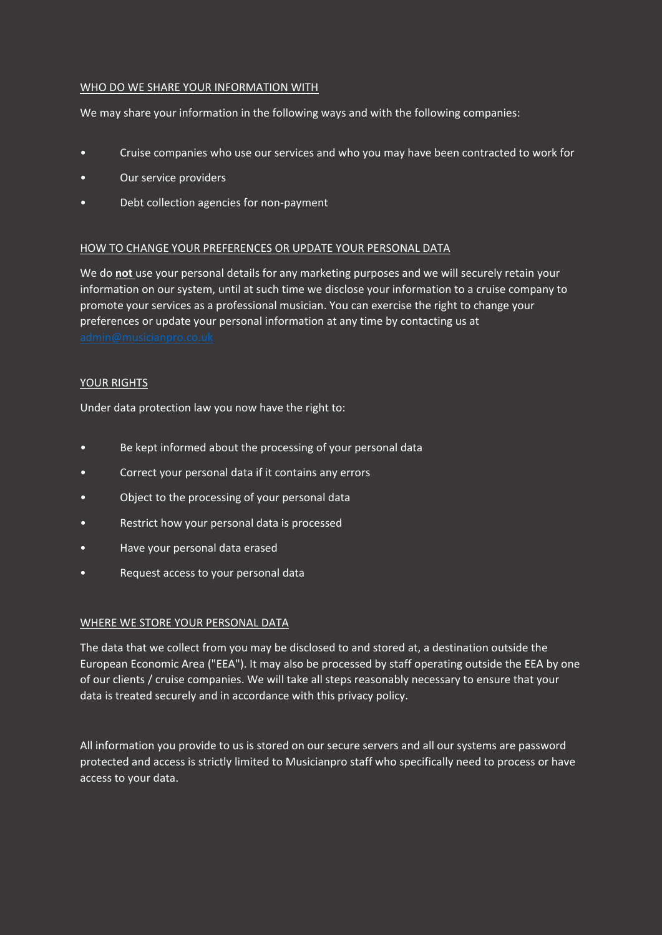## WHO DO WE SHARE YOUR INFORMATION WITH

We may share your information in the following ways and with the following companies:

- Cruise companies who use our services and who you may have been contracted to work for
- Our service providers
- Debt collection agencies for non-payment

## HOW TO CHANGE YOUR PREFERENCES OR UPDATE YOUR PERSONAL DATA

We do **not** use your personal details for any marketing purposes and we will securely retain your information on our system, until at such time we disclose your information to a cruise company to promote your services as a professional musician. You can exercise the right to change your preferences or update your personal information at any time by contacting us at

# YOUR RIGHTS

Under data protection law you now have the right to:

- Be kept informed about the processing of your personal data
- Correct your personal data if it contains any errors
- Object to the processing of your personal data
- Restrict how your personal data is processed
- Have your personal data erased
- Request access to your personal data

# WHERE WE STORE YOUR PERSONAL DATA

The data that we collect from you may be disclosed to and stored at, a destination outside the European Economic Area ("EEA"). It may also be processed by staff operating outside the EEA by one of our clients / cruise companies. We will take all steps reasonably necessary to ensure that your data is treated securely and in accordance with this privacy policy.

All information you provide to us is stored on our secure servers and all our systems are password protected and access is strictly limited to Musicianpro staff who specifically need to process or have access to your data.